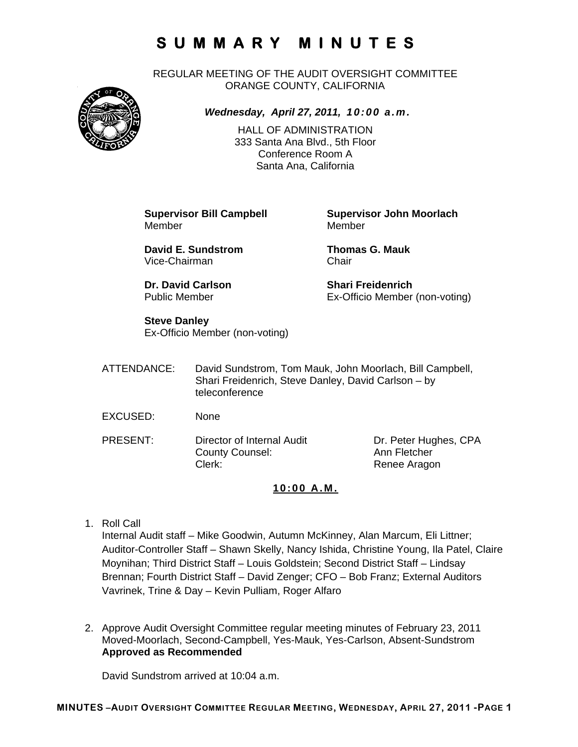REGULAR MEETING OF THE AUDIT OVERSIGHT COMMITTEE ORANGE COUNTY, CALIFORNIA



*Wednesday, April 27, 2011, 10:00 a.m.*

HALL OF ADMINISTRATION 333 Santa Ana Blvd., 5th Floor Conference Room A Santa Ana, California

Member Member

**David E. Sundstrom Thomas G. Mauk**  Vice-Chairman Chair

**Dr. David Carlson Shari Freidenrich** 

**Supervisor Bill Campbell Supervisor John Moorlach**

Public Member Ex-Officio Member (non-voting)

#### **Steve Danley**

Ex-Officio Member (non-voting)

ATTENDANCE: David Sundstrom, Tom Mauk, John Moorlach, Bill Campbell, Shari Freidenrich, Steve Danley, David Carlson – by teleconference

EXCUSED: None

PRESENT: Director of Internal Audit Dr. Peter Hughes, CPA County Counsel: Ann Fletcher Clerk: Clerk: Renee Aragon

#### **10:00 A.M.**

1. Roll Call

Internal Audit staff – Mike Goodwin, Autumn McKinney, Alan Marcum, Eli Littner; Auditor-Controller Staff – Shawn Skelly, Nancy Ishida, Christine Young, Ila Patel, Claire Moynihan; Third District Staff – Louis Goldstein; Second District Staff – Lindsay Brennan; Fourth District Staff – David Zenger; CFO – Bob Franz; External Auditors Vavrinek, Trine & Day – Kevin Pulliam, Roger Alfaro

2. Approve Audit Oversight Committee regular meeting minutes of February 23, 2011 Moved-Moorlach, Second-Campbell, Yes-Mauk, Yes-Carlson, Absent-Sundstrom **Approved as Recommended** 

David Sundstrom arrived at 10:04 a.m.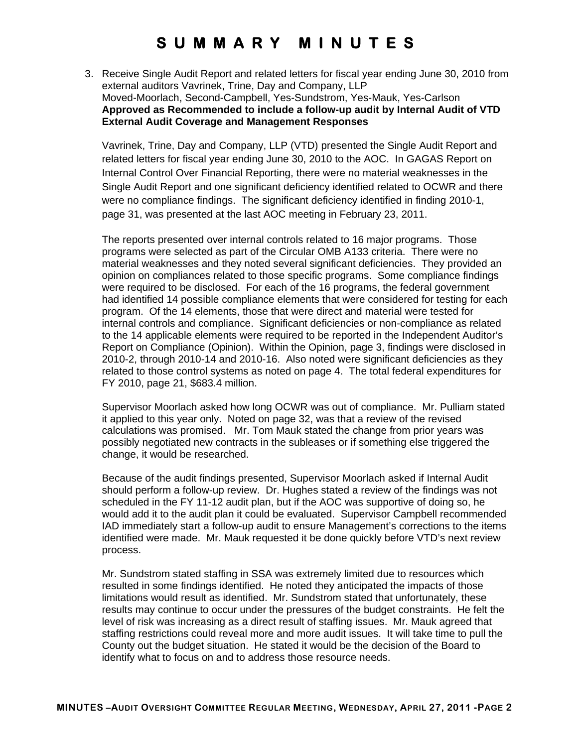3. Receive Single Audit Report and related letters for fiscal year ending June 30, 2010 from external auditors Vavrinek, Trine, Day and Company, LLP Moved-Moorlach, Second-Campbell, Yes-Sundstrom, Yes-Mauk, Yes-Carlson **Approved as Recommended to include a follow-up audit by Internal Audit of VTD External Audit Coverage and Management Responses**

Vavrinek, Trine, Day and Company, LLP (VTD) presented the Single Audit Report and related letters for fiscal year ending June 30, 2010 to the AOC. In GAGAS Report on Internal Control Over Financial Reporting, there were no material weaknesses in the Single Audit Report and one significant deficiency identified related to OCWR and there were no compliance findings. The significant deficiency identified in finding 2010-1, page 31, was presented at the last AOC meeting in February 23, 2011.

The reports presented over internal controls related to 16 major programs. Those programs were selected as part of the Circular OMB A133 criteria. There were no material weaknesses and they noted several significant deficiencies. They provided an opinion on compliances related to those specific programs. Some compliance findings were required to be disclosed. For each of the 16 programs, the federal government had identified 14 possible compliance elements that were considered for testing for each program. Of the 14 elements, those that were direct and material were tested for internal controls and compliance. Significant deficiencies or non-compliance as related to the 14 applicable elements were required to be reported in the Independent Auditor's Report on Compliance (Opinion). Within the Opinion, page 3, findings were disclosed in 2010-2, through 2010-14 and 2010-16. Also noted were significant deficiencies as they related to those control systems as noted on page 4. The total federal expenditures for FY 2010, page 21, \$683.4 million.

Supervisor Moorlach asked how long OCWR was out of compliance. Mr. Pulliam stated it applied to this year only. Noted on page 32, was that a review of the revised calculations was promised. Mr. Tom Mauk stated the change from prior years was possibly negotiated new contracts in the subleases or if something else triggered the change, it would be researched.

Because of the audit findings presented, Supervisor Moorlach asked if Internal Audit should perform a follow-up review. Dr. Hughes stated a review of the findings was not scheduled in the FY 11-12 audit plan, but if the AOC was supportive of doing so, he would add it to the audit plan it could be evaluated. Supervisor Campbell recommended IAD immediately start a follow-up audit to ensure Management's corrections to the items identified were made. Mr. Mauk requested it be done quickly before VTD's next review process.

Mr. Sundstrom stated staffing in SSA was extremely limited due to resources which resulted in some findings identified. He noted they anticipated the impacts of those limitations would result as identified. Mr. Sundstrom stated that unfortunately, these results may continue to occur under the pressures of the budget constraints. He felt the level of risk was increasing as a direct result of staffing issues. Mr. Mauk agreed that staffing restrictions could reveal more and more audit issues. It will take time to pull the County out the budget situation. He stated it would be the decision of the Board to identify what to focus on and to address those resource needs.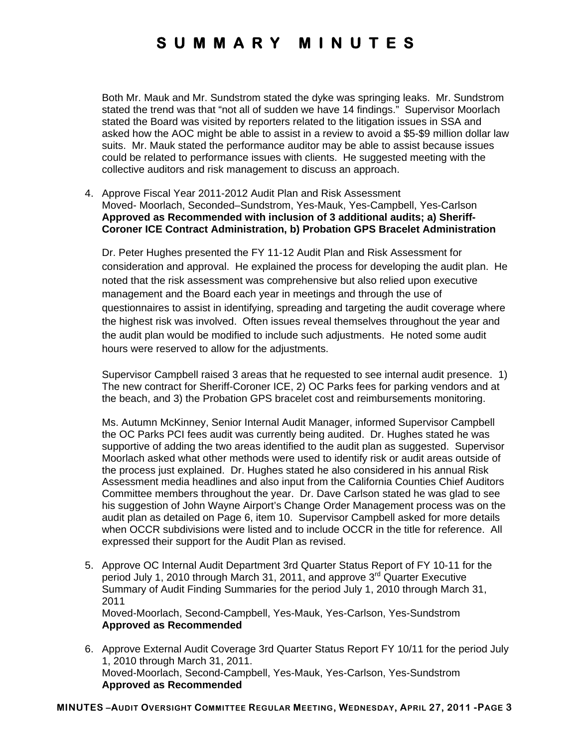Both Mr. Mauk and Mr. Sundstrom stated the dyke was springing leaks. Mr. Sundstrom stated the trend was that "not all of sudden we have 14 findings." Supervisor Moorlach stated the Board was visited by reporters related to the litigation issues in SSA and asked how the AOC might be able to assist in a review to avoid a \$5-\$9 million dollar law suits. Mr. Mauk stated the performance auditor may be able to assist because issues could be related to performance issues with clients. He suggested meeting with the collective auditors and risk management to discuss an approach.

4. Approve Fiscal Year 2011-2012 Audit Plan and Risk Assessment Moved- Moorlach, Seconded–Sundstrom, Yes-Mauk, Yes-Campbell, Yes-Carlson **Approved as Recommended with inclusion of 3 additional audits; a) Sheriff-Coroner ICE Contract Administration, b) Probation GPS Bracelet Administration** 

Dr. Peter Hughes presented the FY 11-12 Audit Plan and Risk Assessment for consideration and approval. He explained the process for developing the audit plan. He noted that the risk assessment was comprehensive but also relied upon executive management and the Board each year in meetings and through the use of questionnaires to assist in identifying, spreading and targeting the audit coverage where the highest risk was involved. Often issues reveal themselves throughout the year and the audit plan would be modified to include such adjustments. He noted some audit hours were reserved to allow for the adjustments.

Supervisor Campbell raised 3 areas that he requested to see internal audit presence. 1) The new contract for Sheriff-Coroner ICE, 2) OC Parks fees for parking vendors and at the beach, and 3) the Probation GPS bracelet cost and reimbursements monitoring.

Ms. Autumn McKinney, Senior Internal Audit Manager, informed Supervisor Campbell the OC Parks PCI fees audit was currently being audited. Dr. Hughes stated he was supportive of adding the two areas identified to the audit plan as suggested. Supervisor Moorlach asked what other methods were used to identify risk or audit areas outside of the process just explained. Dr. Hughes stated he also considered in his annual Risk Assessment media headlines and also input from the California Counties Chief Auditors Committee members throughout the year. Dr. Dave Carlson stated he was glad to see his suggestion of John Wayne Airport's Change Order Management process was on the audit plan as detailed on Page 6, item 10. Supervisor Campbell asked for more details when OCCR subdivisions were listed and to include OCCR in the title for reference. All expressed their support for the Audit Plan as revised.

- 5. Approve OC Internal Audit Department 3rd Quarter Status Report of FY 10-11 for the period July 1, 2010 through March 31, 2011, and approve  $3^{rd}$  Quarter Executive Summary of Audit Finding Summaries for the period July 1, 2010 through March 31, 2011 Moved-Moorlach, Second-Campbell, Yes-Mauk, Yes-Carlson, Yes-Sundstrom **Approved as Recommended**
- 6. Approve External Audit Coverage 3rd Quarter Status Report FY 10/11 for the period July 1, 2010 through March 31, 2011. Moved-Moorlach, Second-Campbell, Yes-Mauk, Yes-Carlson, Yes-Sundstrom **Approved as Recommended**